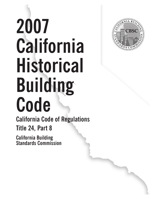# **2007 California Historical Building Code**



**California Code of Regulations Title 24, Part 8**

**California Building Standards Commission**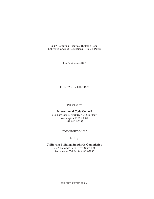2007 California Historical Building Code California Code of Regulations, Title 24, Part 8

First Printing: June 2007

ISBN 978-1-58001-546-2

Published by

#### **International Code Council**

500 New Jersey Avenue, NW, 6th Floor Washington, D.C. 20001 1-888-422-7233

#### COPYRIGHT © 2007

held by

### **California Building Standards Commission**

2525 Natomas Park Drive, Suite 130 Sacramento, California 95833-2936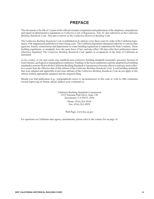## **PREFACE**

This document is the 8th of 12 parts of the official triennial compilation and publication of the adoptions, amendments and repeal of administrative regulations to *California Code of Regulations, Title 24,* also referred to as the *California Building Standards Code*. This part is known as the *California Historical Building Code*.

The *California Building Standards Code* is published in its entirety every three years by order of the California legislature, with supplements published in intervening years. The California legislature delegated authority to various state agencies, boards, commissions and departments to create building regulations to implement the State's statutes. These building regulations, or standards, have the same force of law, and take effect 180 days after their publication unless otherwise stipulated. The *California Building Standards Code* applies to occupancies in the State of California as annotated.

A city, county, or city and county may establish more restrictive building standards reasonably necessary because of local climatic, geological or topographical conditions. Findings of the local condition(s) and the adopted local building standard(s) must be filed with the California Building Standards Commission to become effective and may not be effective sooner than the effective date of this edition of the *California Building Standards Code*. Local building standards that were adopted and applicable to previous editions of the *California Building Standards Code* do not apply to this edition without appropriate adoption and the required filing.

Should you find publication (e.g., typographical) errors or inconsistencies in this code or wish to offer comments toward improving its format, please address your comments to:

> California Building Standards Commission 2525 Natomas Park Drive, Suite 130 Sacramento, CA 95833–2936 Phone: (916) 263–0916 Fax: (916) 263–0959

> > Web Page: www.bsc.ca.gov

For questions on California state agency amendments, please refer to the contact list on page vii.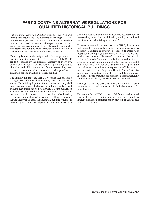## **PART 8 CONTAINS ALTERNATIVE REGULATIONS FOR QUALIFIED HISTORICAL BUILDINGS**

The *California Historical Building Code* (CHBC) is unique among state regulations. The authoring of the original CHBC required state agencies promulgating regulations for building construction to work in harmony with representatives of other design and construction disciplines. The result was a totally new approach to building codes for historical structures, which maintains currently acceptable life–safety standards.

These regulations are also unique in that they are performance oriented rather than prescriptive. The provisions of the CHBC are to be applied by the enforcing authority of every city, county, city and county, or state agency in permitting repairs, alterations and additions necessary for the preservation, rehabilitation, relocation, related construction, change of use or continued use of a qualified historical building.

The authority for use of the CHBC is vested in Sections 18950 through 18961 of the Health and Safety Code. Section 18954 states, "The building department of every city or county shall apply the provisions of alternative building standards and building regulations adopted by the CHBC Board pursuant to Section 18959.5 in permitting repairs, alterations and additions necessary for the preservation, restoration, rehabilitation, moving or continued use of an historical building or structure. A state agency shall apply the alternative building regulations adopted by the CHBC Board pursuant to Section 18959.5 in permitting repairs, alterations and additions necessary for the preservation, restoration, rehabilitation, moving or continued use of an historical building or structure."

However, be aware that in order to use the CHBC, the structure under consideration must be qualified by being designated as an historical building or structure. Section 18955 states, "For the purposes of this part, a qualified historical building or structure is any structure or collection of structures, and their associated sites deemed of importance to the history, architecture or culture of an area by an appropriate local or state governmental jurisdiction. This shall include structures on existing or future national, state or local historical registers or official inventories, such as the National Register of Historic Places, State Historical Landmarks, State Points of Historical Interest, and city or county registers or inventories of historical or architecturally significant sites, places, historic districts or landmarks."

The regulations of the CHBC have the same authority as state law and are to be considered as such. Liability is the same as for prevailing law.

The intent of the CHBC is to save California's architectural heritage by recognizing the unique construction problems inherent in historical buildings and by providing a code to deal with these problems.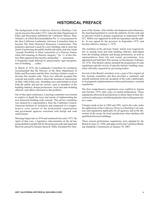## **HISTORICAL PREFACE**

The background of the *California Historical Building Code* can be traced to December 1973, when the State Department of Parks and Recreation published the California History Plan, Volume I, in which Recommendation No. 11 was proposed by the then California Landmarks Advisory Committee (later to become The State Historical Resources Commission). This proposal expressed a need for a new building code to meet the intent of protecting the public health and safety and also retain "enough flexibility to allow restoration of a Historic feature while still retaining its Historic integrity." No. 11 of this History Plan supported this need by stating that "... restoration ... is frequently made difficult by unnecessarily rigid interpretation of building... codes."

In March of 1974, the Landmarks Committee by resolution recommended that the Director of the State Department of Parks and Recreation and the State Architect initiate a study to develop this needed code. These two officials accepted this concept and jointly called a statewide meeting in Sacramento on May 14th of that year. Attending were representatives from both the public and private sectors, such as members of the building industry, design professions, local and state building officials, and others interested in this problem.

Out of this open conference, a steering committee was formed to explore in depth the ways and means of implementing the new historical building code concept. This ad hoc committee was chaired by a representative from the California Council, American Institute of Architects and composed of a comprehensive cross section of the professional organizations and government agencies concerned with design and code enforcement.

Meetings began late in 1974 and continued into early 1975. By April of that year, a legislative subcommittee of the ad hoc group drafted a sample bill for the proposed code and requested that it be carried by Senator James R. Mills, President Pro Tem-

pore of the Senate. After further development and refinement, the enacting legislation to create the authority for the code and an advisory board to prepare regulations to implement it (SB 927, Mills) was supported by both the legislature and the public. It was signed by the governor in September 1975, and became effective January 1, 1976.

The members of the advisory board, which were required by law to include local and state building officials, individuals from the building industry and design professions, as well as representatives from city and county governments, were appointed and held their first session in Sacramento, February 24, 1976. This Board's duties included the preparation of code regulations and the review of specific historic building cases, when officially requested by governing bodies.

Several of the Board's members were a part of the original ad hoc steering committee and thus provided a continuity and smooth transition from the inception of the code's philosophy to its pragmatic implementation in these performance–oriented regulations.

The first comprehensive regulations were codified in August and October 1979, after years of careful deliberation. Those regulations allowed all jurisdictions to utilize them at their discretion in replacing or modifying details of prevailing prescriptive codes.

Changes made in law in 1984 and 1991, and to the code, make the application of the *California Historical Building Code* statutes and regulations applicable for all agencies and at the discretion of the owner for local jurisdictions when dealing with qualified historical buildings.

These current performance regulations were adopted by the Board on June 23, 1998, and approved by the California Building Standards Commission on January 29, 2007.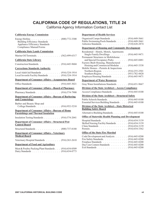## **CALIFORNIA CODE OF REGULATIONS, TITLE 24**

California Agency Information Contact List

#### **California Energy Commission**

| Energy Hotline (800) 772-3300<br><b>Building Efficiency Standards</b><br>Appliance Efficiency Standards<br><b>Compliance Manual/Forms</b> |
|-------------------------------------------------------------------------------------------------------------------------------------------|
| <b>California State Lands Commission</b>                                                                                                  |
| Marine Oil Terminals. (562) 499-6317                                                                                                      |
| <b>California State Library</b>                                                                                                           |
| Construction Standards. (916) 445-9604                                                                                                    |
| <b>Corrections Standards Authority</b>                                                                                                    |
| Local Adult Jail Standards (916) 324-1914<br>Local Juvenile Facility Standards (916) 324-1914                                             |
| <b>Department of Consumer Affairs-Acupuncture Board</b>                                                                                   |
| Office Standards (916) 445-3021                                                                                                           |
| <b>Department of Consumer Affairs-Board of Pharmacy</b>                                                                                   |
| Pharmacy Standards (916) 574-7900                                                                                                         |
| <b>Department of Consumer Affairs-Bureau of Barbering</b><br>and Cosmetology                                                              |
| Barber and Beauty Shop and<br>College Standards (916) 952-5210                                                                            |
| <b>Department of Consumer Affairs-Bureau of Home</b><br><b>Furnishings and Thermal Insulation</b>                                         |
| Insulation Testing Standards (916) 574-2041                                                                                               |
| <b>Department of Consumer Affairs-Structural Pest</b><br><b>Control Board</b>                                                             |
| Structural Standards (800) 737-8188                                                                                                       |
|                                                                                                                                           |
| <b>Department of Consumer Affairs-Veterinary</b><br><b>Medical Board</b>                                                                  |
| Veterinary Hospital Standards (916) 263-2610                                                                                              |
| <b>Department of Food and Agriculture</b>                                                                                                 |

#### **Department of Health Services**

| Organized Camps Standards (916) 449-5661       |  |  |  |
|------------------------------------------------|--|--|--|
| Public Swimming Pools Standards (916) 449-5661 |  |  |  |
|                                                |  |  |  |

#### **Department of Housing and Community Development**

| Residential-Hotels, Motels, Apartments<br>Single-Family Dwellings (916) 445-9471<br>Permanent Structures in Mobilehome<br>and Special Occupancy Parks (916) 445-0481<br>Factory-Built Housing, Manufactured<br>Housing and Commercial Modular (916) 445-3338<br>Mobile Homes—Permits & Inspections<br>Northern Region. (916) 255-2501<br>Southern Region. (951) 782-4420 |
|--------------------------------------------------------------------------------------------------------------------------------------------------------------------------------------------------------------------------------------------------------------------------------------------------------------------------------------------------------------------------|
| Employee Housing Standards (916) 445-9471                                                                                                                                                                                                                                                                                                                                |
| <b>Department of Water Resources</b>                                                                                                                                                                                                                                                                                                                                     |
| Gray Water Installations Standards (916) 651-9667                                                                                                                                                                                                                                                                                                                        |
| Division of the State Architect-Access Compliance                                                                                                                                                                                                                                                                                                                        |
| Access Compliance Standards (916) 445-8100                                                                                                                                                                                                                                                                                                                               |
| Division of the State Architect-Structural Safety                                                                                                                                                                                                                                                                                                                        |
| Public Schools Standards. $\ldots \ldots \ldots \ldots (916)$ 445-8100<br>Essential Services Building Standards (916) 445-8100                                                                                                                                                                                                                                           |
| <b>Division of the State Architect-State Historical</b><br><b>Building Safety Board</b>                                                                                                                                                                                                                                                                                  |
| Alternative Building Standards. (916) 445-8100                                                                                                                                                                                                                                                                                                                           |
| <b>Office of Statewide Health Planning and Development</b>                                                                                                                                                                                                                                                                                                               |
| Hospital Standards (916) 654-3139<br>Skilled Nursing Facility Standards (916) 654-3139<br>Clinic Standards 916) 654-3139                                                                                                                                                                                                                                                 |
| <b>Office of the State Fire Marshal</b>                                                                                                                                                                                                                                                                                                                                  |
| Code Development and Analysis. (916) 445-8200<br>Fire Safety Standards. $\ldots \ldots \ldots \ldots \ldots (916)$ 445-8200<br>Fireplace Standards $\ldots \ldots \ldots \ldots \ldots (916)445-8200$                                                                                                                                                                    |

Day Care Centers Standards . . . . . . . . . (916) 445-8200 Exit Standards ................ (916) 445-8200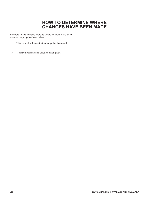# **HOW TO DETERMINE WHERE CHANGES HAVE BEEN MADE**

Symbols in the margins indicate where changes have been made or language has been deleted.



This symbol indicates that a change has been made.

This symbol indicates deletion of language.  $\geq$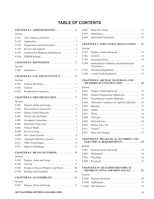## **TABLE OF CONTENTS**

|           | <b>CHAPTER 8-1 ADMINISTRATION 1</b>     |
|-----------|-----------------------------------------|
| Section   |                                         |
| $8 - 101$ |                                         |
| $8 - 102$ |                                         |
| $8 - 103$ | Organization and Enforcement1           |
| $8 - 104$ |                                         |
| $8 - 105$ | Construction Methods and Materials 2    |
| 8-106     |                                         |
|           | CHAPTER 8-2 DEFINITIONS  3              |
| Section   |                                         |
| $8 - 201$ |                                         |
|           | <b>CHAPTER 8-3 USE AND OCCUPANCY  5</b> |
| Section   |                                         |
| 8-301     |                                         |
| 8-302     |                                         |
| 8-303     |                                         |
|           | <b>CHAPTER 8-4 FIRE PROTECTION.  7</b>  |
| Section   |                                         |
| 8-401     |                                         |
| 8-402     | Fire-resistive Construction 7           |
| 8-403     |                                         |
| 8-404     |                                         |
| 8-405     |                                         |
| 8-406     |                                         |
| 8-407     |                                         |
| 8-408     |                                         |
| 8-409     |                                         |
| 8-410     | Automatic Sprinkler Systems 8           |
| 8-411     |                                         |
| 8-412     |                                         |
|           | CHAPTER 8-5 MEANS OF EGRESS. 9          |
| Section   |                                         |
| 8-501     |                                         |
| 8-502     |                                         |
| 8-503     | Escape or Rescue Windows and Doors  10  |
| 8-504     |                                         |
|           | CHAPTER 8-6 ACCESSIBILITY 11            |
| Section   |                                         |
| 8-601     |                                         |

#### **[CHAPTER 8-7 STRUCTURAL REGULATIONS . . 13](#page-22-0)**

Section

| 8-701 |                                           |
|-------|-------------------------------------------|
| 8-702 |                                           |
|       |                                           |
| 8-704 | Nonhistorical Additions and Nonhistorical |
|       |                                           |
|       |                                           |

#### **[CHAPTER 8-8 ARCHAIC MATERIALS AND](#page-24-0) METHODS OF CONSTRUCTION . . . . . . . . . 15**

| 8-801 |                                                |
|-------|------------------------------------------------|
| 8-802 | General Engineering Approaches 15              |
| 8-803 | Nonstructural Archaic Materials. 15            |
| 8-804 | Allowable Conditions for Specific Materials 15 |
| 8-805 |                                                |
| 8-806 |                                                |
| 8-807 |                                                |
| 8-808 |                                                |
| 8-809 |                                                |
| 8-810 |                                                |
| 8-811 |                                                |
| 8-812 |                                                |
|       |                                                |

# **[CHAPTER 8-9 MECHANICAL, PLUMBING AND](#page-28-0)**

| <b>ELECTRICAL REQUIREMENTS</b> 19 |  |  |  |  |  |  |  |  |  |  |  |
|-----------------------------------|--|--|--|--|--|--|--|--|--|--|--|
|-----------------------------------|--|--|--|--|--|--|--|--|--|--|--|

Section

| <b>CHAPTER 8-10 QUALIFIED HISTORICAL</b><br>DISTRICTS, SITES AND OPEN SPACES 23 |  |  |  |  |  |  |  |  |
|---------------------------------------------------------------------------------|--|--|--|--|--|--|--|--|
| Section                                                                         |  |  |  |  |  |  |  |  |
|                                                                                 |  |  |  |  |  |  |  |  |
|                                                                                 |  |  |  |  |  |  |  |  |
|                                                                                 |  |  |  |  |  |  |  |  |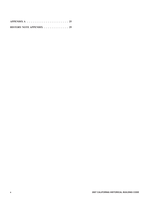| HISTORY NOTE APPENDIX $\ldots \ldots \ldots \ldots \ldots$ 29 |  |  |  |  |  |  |  |
|---------------------------------------------------------------|--|--|--|--|--|--|--|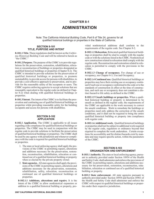## **CHAPTER 8-1 ADMINISTRATION**

<span id="page-10-0"></span>Note: The *California Historical Building Code*, Part 8 of Title 24, governs for all qualified historical buildings or properties in the State of California.

#### **SECTION 8-101 TITLE, PURPOSE AND INTENT**

**8-101.1 Title.** These regulations shall be known as the *California Historical Building Code* and will be referred to herein as "the CHBC."

**8-101.2 Purpose.** The purpose of the CHBC is to provide regulations for the preservation, restoration, rehabilitation, relocation or reconstruction of buildings or properties designated as qualified historical buildings or properties (Chapter 8-2). The CHBC is intended to provide solutions for the preservation of qualified historical buildings or properties, to promote sustainability, to provide access for persons with disabilities, to provide a cost-effective approach to preservation, and to provide for the reasonable safety of the occupants or users. The CHBC requires enforcing agencies to accept solutions that are reasonably equivalent to the regular code (as defined in Chapter 8-2) when dealing with qualified historical buildings or properties.

**8-101.3 Intent.** The intent of the CHBC is to facilitate the preservation and continuing use of qualified historical buildings or properties while providing reasonable safety for the building occupants and access for persons with disabilities.

#### **SECTION 8-102 APPLICATION**

**8-102.1 Application.** The CHBC is applicable to all issues regarding code compliance for qualified historical buildings or properties. The CHBC may be used in conjunction with the regular code to provide solutions to facilitate the preservation of qualified historical buildings or properties. The CHBC shall be used by any agency with jurisdiction and whenever compliance with the code is required for qualified historical buildings or properties.

- 1. The state or local enforcing agency shall apply the provisions of the CHBC in permitting repairs, alterations and additions necessary for the preservation, restoration, reconstruction, rehabilitation, relocation or continued use of a qualified historical building or property when so elected by the private property owner.
- 2. **State agencies.** All state agencies shall apply the provisions of the CHBC in permitting repairs, alterations and additions necessary for the preservation, restoration, rehabilitation, safety, relocation, reconstruction or continued use of qualified historical buildings or properties.

**8-102.1.1 Additions, alterations and repairs.** It is the intent of the CHBC to allow nonhistorical expansion or addition to a qualified historical building or property, provided nonhistorical additions shall conform to the requirements of the regular code. See Chapter 8-2.

**8-102.1.2 Relocation.** Relocated qualified historical buildings or properties shall be sited to comply with the regular code or with the solutions listed in the CHBC. Nonhistorical new construction related to relocation shall comply with the regular code. Reconstruction and restoration related to relocation is permitted to comply with the provisions in the CHBC.

**8-102.1.3 Change of occupancy.** For change of use or occupancy, see Chapter 8-3, Use and Occupancy.

**8-102.1.4 Continued use.** Qualified historical buildings or properties may have their existing use or occupancy continued if such use or occupancy conformed to the code or to the standards of construction in effect at the time of construction, and such use or occupancty does not constitute a distinct hazard to life safety as defined in the CHBC.

**8-102.1.5 Unsafe buildings or properties.** When a qualified historical building or property is determined to be unsafe as defined in the regular code, the requirements of the CHBC are applicable to the work necessary to correct the unsafe conditions. Work to remediate the buildings or properties need only address the correction of the unsafe conditions, and it shall not be required to bring the entire qualified historical building or property into compliance with regular code.

**8-102.1.6 Additional work.** Qualified historical buildings or properties shall not be subject to additional work required by the regular code, regulation or ordinance beyond that required to complete the work undertaken. Certain exceptions for accessibility and for distinct hazards exist by mandate and may require specific action, within the parameters of the CHBC.

#### **SECTION 8-103 ORGANIZATION AND ENFORCEMENT**

**8-103.1 Authority.** The state or local enforcing agency, pursuant to authority provided under Section 18954 of the Health and Safety Code, shall administer and enforce the provisions of the CHBC in permitting repairs, alterations and additions necessary for the preservation, restoration, reconstruction, rehabilitation, relocation or continued use of a qualified historical building or property.

**8-103.2 State enforcement.** All state agencies pursuant to authority provided under Section 18954 and Section 18961 of the Health and Safety Code shall administer and enforce the CHBC with respect to qualified historical buildings or properties under their respective jurisdiction.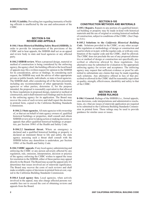<span id="page-11-0"></span>**8-103.3 Liability.** Prevailing law regarding immunity of building officials is unaffected by the use and enforcement of the CHBC.

#### **SECTION 8-104 REVIEW AND APPEALS**

**8-104.1 State Historical Building Safety Board (SHBSB).** In order to provide for interpretation of the provisions of the CHBC and to hear appeals, the SHBSB shall act as an appeal and review body to state and local agencies or any affected party.

**8-104.2 SHBSB review.** When a proposed design, material or method of construction is being considered by the enforcing agency, the agency chief, the building official or the local board of appeals may file a written request for opinion to the SHBSB for its consideration, advice or findings. In considering such request, the SHBSB may seek the advice of other appropriate private or public boards, individuals, or state or local agencies. The SHBSB shall, after considering all of the facts presented, including any recommendation of other appropriate boards, agencies or other parties, determine if, for the purpose intended, the proposal is reasonably equivalent to that allowed by these regulations in proposed design, material or method of construction, and it shall transmit such findings and its decision to the enforcing agency for its application. The Board may recover the costs of such reviews and shall report the decision in printed form, copied to the California Building Standards Commission.

**8-104.2.1 State agencies.** All state agencies with ownership of, or that act on behalf of state agency owners of, qualified historical buildings or properties, shall consult and obtain SHBSB review prior to taking action or making decisions or appeals that affect qualified historical buildings or properties, per Section 18961 of the Health and Safety Code.

**8-104.2.2 Imminent threat.** Where an emergency is declared and a qualified historical building or property is declared an imminent threat to life and safety, the state agency assessing such a threat shall consult with the SHBSB before any demolition is undertaken, per Section 18961 of the Health and Safety Code.

**8-104.3 SHBC appeals.** If any local agency administering and enforcing the CHBC or any person adversely affected by any regulation, rule, omission, interpretation, decision or practice of the agency enforcing the CHBC wishes to appeal the issue for resolution to the SHBSB, either of these parties may appeal directly to the Board. The Board may accept the appeal only if it determines that issues involved are of statewide significance. The Board may recover the costs of such reviews and shall make available copies of decisions in printed form at cost, copied to the California Building Standards Commission.

**8-104.4 Local agency fees.** Local agencies, when actively involved in the appeal, may also charge affected persons reasonable fees not to exceed the cost of obtaining reviews and appeals from the Board.

#### **SECTION 8-105 CONSTRUCTION METHODS AND MATERIALS**

**8-105.1 Repairs.** Repairs to any portion of a qualified historical building or property may be made in-kind with historical materials and the use of original or existing historical methods of construction, subject to conditions of the CHBC. (See Chapter 8-8.)

**8-105.2 Solutions to the** *California Historical Building Code***.** Solutions provided in the CHBC, or any other acceptable regulation or methodology of design or construction and used in whole or in part, with the regular code, or with any combination of the regular code and the CHBC, shall be allowed. The CHBC does not preclude the use of any proposed alternative or method of design or construction not specifically prescribed or otherwise allowed by these regulations. Any alternative may be submitted for evaluation to the appropriate enforcing agency for review and acceptance. The enforcing agency may request that sufficient evidence or proof be submitted to substantiate any claims that may be made regarding such solutions. Any alternative offered in lieu of that prescribed or allowed in the CHBC shall be reasonably equivalent in quality, strength, effectiveness, durability and safety to that of the CHBC.

#### **SECTION 8-106 SHBSB RULINGS**

**8-106.1 General.** Rulings of the SHBSB (i.e., formal appeals, case decisions, code interpretations and administrative resolutions, etc.) that are issues of statewide application are required to be submitted to the California Building Standards Commission in printed form. These rulings may be used to provide guidance for similar cases or issues.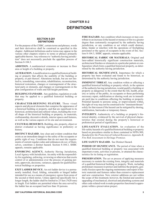# **CHAPTER 8-2 DEFINITIONS**

#### **SECTION 8-201 DEFINITIONS**

<span id="page-12-0"></span>For the purpose of the CHBC, certain terms and phrases, words and their derivatives shall be construed as specified in this chapter. Additional definitions and/or terms may appear in the various other chapters relative to terms or phrases primarily applicable thereto. Any reference to "authority having jurisdiction" does not necessarily preclude the appellate process of Section 8-104.3.

**ADDITION.** A nonhistorical extension or increase in floor area or height of a building or property.

**ALTERATION.** Amodification to a qualified historical building or property that affects the usability of the building or property, or part thereof. Alterations include, but are not limited to, remodeling, renovation, rehabilitation, reconstruction, historical restoration, changes or rearrangement of the structural parts or elements, and changes or rearrangements in the plan configuration of walls and full-height partitions.

**BUILDING STANDARD.** Any guideline, regulation or code that may be applied to a qualified historical building or property.

**CHARACTER-DEFINING FEATURE.** Those visual aspects and physical elements that comprise the appearance of a historical building or property, and that are significant to its historical, architectural and cultural values, including the overall shape of the historical building or property, its materials, craftsmanship, decorative details, interior spaces and features, as well as the various aspects of its site and environment.

**CULTURALRESOURCE.** Building, site, property, object or district evaluated as having significance in prehistory or history.

**DISTINCT HAZARD.** Any clear and evident condition that exists as an immediate danger to the safety of the occupants or public right of way. Conditions that do not meet the requirements of current regular codes and ordinances do *not,* of themselves, constitute a distinct hazard. Section 8-104.3, SHBC appeals, remains applicable.

**ENFORCING AGENCY,** Authority Having Jurisdiction, Local Agency with Jurisdiction. An entity with the responsibility for regulating, enforcing, reviewing or otherwise that exerts control of or administration over the process of gaining permits, approvals, decisions, variances, appeals for qualified historical buildings or properties.

**EXIT LADDER DEVICE.** An exit ladder device is a permanently installed, fixed, folding, retractable or hinged ladder intended for use as a means of emergency egress from areas of the second or third stories. Unless approved specifically for a longer length, the ladder shall be limited to 25 feet (7620 mm) in length. Exit ladders are permitted where the area served by the ladder has an occupant load less than 10 persons.

**FIRE HAZARD.** Any condition which increases or may contribute to an increase in the hazard or menace of fire to a greater degree than customarily recognized by the authority having jurisdiction, or any condition or act which could obstruct, delay, hinder or interfere with the operations of firefighting personnel or the egress of occupants in the event of fire. Section 8-104.3, SHBC appeals, remains applicable.

**HISTORICAL FABRIC OR MATERIALS.** Original and later-added historically significant construction materials, architectural finishes or elements in a particular pattern or configuration which form a qualified historical property, as determined by the authority having jurisdiction.

**HISTORICAL SIGNIFICANCE.** Importance for which a property has been evaluated and found to be historical, as determined by the authority having jurisdiction.

**IMMINENT THREAT.** Any condition within or affecting a qualified historical building or property which, in the opinion of the authority having jurisdiction, would qualify a building or property as dangerous to the extent that the life, health, property or safety of the public, its occupants or those performing necessary repair, stabilization or shoring work are in immediate peril due to conditions affecting the building or property. Potential hazards to persons using, or improvements within, the right-of-way may not be construed to be "imminent threats" solely for that reason if the hazard can be mitigated by shoring, stabilization, barricades or temporary fences.

**INTEGRITY.** Authenticity of a building or property's historical identity, evidenced by the survival of physical characteristics that existed during the property's historical or prehistorical period of significance.

**LIFE-SAFETY EVALUATION.** An evaluation of the life-safety hazards of a qualified historical building or property based on procedures similar to those contained in NFPA 909, *Standard for the Protection of Cultural Resources, Appendix B, Fire Risk Assessment in Heritage Premises.*

**LIFE SAFETY HAZARD.** See Distinct Hazard.

**PERIOD OF SIGNIFICANCE.** The period of time when a qualified historical building or property was associated with important events, activities or persons, or attained the characteristics for its listing or registration.

**PRESERVATION.** The act or process of applying measures necessary to sustain the existing form, integrity and materials of a qualified historical building or property. Work, including preliminary measures to protect and stabilize the property, generally focuses upon the ongoing maintenance and repair of historic materials and features rather than extensive replacement and new construction. New exterior additions are not within the scope of this treatment; however, the limited and sensitive upgrading of mechanical, electrical and plumbing systems and other code-related work to make properties functional is appropriate within a preservation project.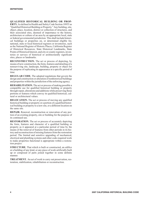#### **QUALIFIED HISTORICAL BUILDING OR PROP-**

**ERTY.** As defined in Health and Safety Code Section 18955 as "Qualified Historical Building or Property." Any building, site, object, place, location, district or collection of structures, and their associated sites, deemed of importance to the history, architecture or culture of an area by an appropriate local, state or federal governmental jurisdiction. This shall include historical buildings or properties on, or determined eligible for, national, state or local historical registers or inventories, such as the National Register of Historic Places, California Register of Historical Resources, State Historical Landmarks, State Points of Historical Interest, and city or county registers, inventories or surveys of historical or architecturally significant sites, places or landmarks.

**RECONSTRUCTION.** The act or process of depicting, by means of new construction, the form, features and detailing of a nonsurviving site, landscape, building, property or object for the purpose of replicating its appearance at a specific period of time.

**REGULAR CODE.** The adopted regulations that govern the design and construction or alteration of nonhistorical buildings and properties within the jurisdiction of the enforcing agency.

**REHABILITATION.** The act or process of making possible a compatible use for qualified historical building or property through repair, alterations and additions while preserving those portions or features which convey its qualified historical, cultural or architectural values.

**RELOCATION.** The act or process of moving any qualified historical building or property or a portion of a qualified historical building or property to a new site, or a different location on the same site.

**REPAIR.** Renewal, reconstruction or renovation of any portion of an existing property, site or building for the purpose of its continued use.

**RESTORATION.** The act or process of accurately depicting the form, features and character of a qualified building or property as it appeared at a particular period of time by the means of the removal of features from other periods in its history and reconstruction of missing features from the restoration period. The limited and sensitive upgrading of mechanical, electrical and plumbing systems and other code-required work to make properties functional is appropriate within a restoration project.

**STRUCTURE.** That which is built or constructed, an edifice or a building of any kind, or any piece of work artificially built up or composed of parts joined together in some definite manner.

**TREATMENT.** An act of work to carry out preservation, restoration, stabilization, rehabilitation or reconstruction.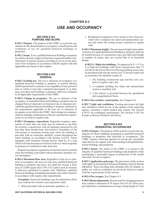# **CHAPTER 8-3 USE AND OCCUPANCY**

#### **SECTION 8-301 PURPOSE AND SCOPE**

<span id="page-14-0"></span>**8-301.1 Purpose.** The purpose of the CHBC is to provide regulations for the determination of occupancy classifications and conditions of use for qualified historical buildings or properties.

**8-301.2 Scope.** Every qualified historical building or property for which a permit or approval has been requested shall be classified prior to permit issuance according to its use or the character of its occupancy in accordance with the regular code and applicable provisions of this chapter.

#### **SECTION 8-302 GENERAL**

**8-302.1 Existing use.** The use or character of occupancy of a qualified historical building or property, or portion thereof, shall be permitted to continue in use regardless of any period of time in which it may have remained unoccupied or in other uses, provided such building or property otherwise conforms to all applicable requirements of the CHBC.

**8-302.2 Change in occupancy.** The use or character of the occupancy of a qualified historical building or property may be changed from or returned to its historical use or character, provided the qualified historical building or property conforms to the requirements applicable to the new use or character of occupancy as set forth in the CHBC. Such change in occupancy shall not mandate conformance with new construction requirements as set forth in regular code.

**8-302.3 Occupancy separations.** Required occupancy separations of more than one hour may be reduced to one-hour fire-resistive construction with all openings protected by not less than three-fourths-hour fire-resistive assemblies of the self-closing or automatic-closing type when the building is provided with an automatic sprinkler system throughout the entire building in accordance with Section 8-410.4. Doors equipped with automatic-closing devices shall be of a type which will function upon activation of a device which responds to products of combustion other than heat.

Required occupancy separations of one hour may be omitted when the building is provided with an automatic sprinkler system throughout.

**8-302.4 Maximum floor area.** Regardless of the use or character of occupancy, the area of a one-story qualified historical building or property may have, but shall not exceed, a floor area of  $15,000$  square feet (1393.5 m<sup>2</sup>) unless such an increase is otherwise permitted in regular code. Multistory qualified historical buildings (including basements and cellars) shall be in accordance with regular code requirements.

**Exception:** Historical buildings may be unlimited in floor area without fire-resistive area separation walls:

1. When provided with an automatic sprinkler, or

2. Residential occupancies of two stories or less when provided with a complete fire alarm and annunciation system and where the exiting system conforms to regular code.

**8-302.5 Maximum height.** The maximum height and number of stories of a qualified historical building or property shall not be limited because of construction type, provided such height or number of stories does not exceed that of its historical design.

**8-302.5.1 High-rise buildings.** Occupancies B, F-1, F-2 or S in high-rise buildings with floors located more than 75 feet above the lowest floor level having building access may be permitted with only the stories over 75 feet provided with an automatic fire sprinkler system if:

- 1. The building construction type and the exits conform to regular code, and
- 2. A complete building fire alarm and annunciation system is installed, and
- 3. A fire barrier is provided between the sprinklered and nonsprinklered floors.

**8-302.6 Fire-resistive construction.** See Chapter 8-4.

**8-302.7 Light and ventilation.** Existing provisions for light and ventilation which do not, in the opinion of the enforcing agency, constitute a safety hazard may remain. See Section 8-303.6 for residential requirements. See Section 8-503 for Escape or Rescue Windows and Doors.

#### **SECTION 8-303 RESIDENTIAL OCCUPANCIES**

**8-303.1 Purpose.** The purpose of this section is to provide regulations for those buildings designated as qualified historical buildings or properties and classified as occupancies. The CHBC requires enforcing agencies to accept any reasonably equivalent to the regular code when dealing with qualified historical buildings and properties.

**8-303.2 Intent.** The intent of the CHBC is to preserve the integrity of qualified historical buildings and properties while maintaining a reasonable degree of protection of life, health and safety for the occupants.

**8-303.3 Application and scope.** The provisions of this section shall apply to all qualified historical buildings used for human habitation. Those dwelling units intended only for display, or public use with no residential use involved, need not comply with the requirements of this section.

**8-303.4 Fire escapes.** See Chapter 8-5.

**8-303.5 Room dimensions.**Rooms used for sleeping purposes may contain a minimum of 50 square feet  $(4.6 \text{ m}^2)$  floor area, provided there is maintained an average ceiling height of 7 feet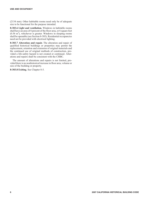(2134 mm). Other habitable rooms need only be of adequate size to be functional for the purpose intended.

**8-303.6 Light and ventilation.** Windows in habitable rooms shall have an area of 6 percent of the floor area, or 6 square feet  $(0.56 \text{ m}^2)$ , whichever is greater. Windows in sleeping rooms shall be openable (see Section 8-503). Residential occupancies need not be provided with electrical lighting.

**8-303.7 Alteration and repair.** The alteration and repair of qualified historical buildings or properties may permit the replacement, retention and extension of original materials and the continued use of original methods of construction, provided a life-safety hazard is not created or continued. Alterations and repairs shall be consistent with the CHBC.

The amount of alterations and repairs is not limited, provided there is no nonhistorical increase in floor area, volume or size of the building or property.

**8-303.8 Exiting.** See Chapter 8-5.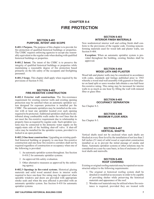# **CHAPTER 8-4 FIRE PROTECTION**

#### <span id="page-16-0"></span>**SECTION 8-401 PURPOSE, INTENT AND SCOPE**

**8-401.1 Purpose.** The purpose of this chapter is to provide for fire protection of qualified historical buildings or properties. The CHBC requires enforcing agencies to accept any reasonably equivalent to the regular code when dealing with qualified historical buildings or properties.

**8-401.2 Intent.** The intent of the CHBC is to preserve the integrity of qualified historical buildings or properties while maintaining a reasonable degree of fire protection based primarily on the life safety of the occupants and firefighting personnel.

**8-401.3 Scope.** This chapter shall apply when required by the provisions of Section 8-102.

#### **SECTION 8-402 FIRE-RESISTIVE CONSTRUCTION**

**8-402.1 Exterior wall construction.** The fire-resistance requirement for existing exterior walls and existing opening protection may be satisfied when an automatic sprinkler system designed for exposure protection is installed per the CHBC. The automatic sprinklers may be installed on the exterior with at least one sprinkler located over each opening required to be protected. Additional sprinklers shall also be distributed along combustible walls under the roof lines that do not meet the fire-resistive requirement due to relationship to property lines as required by regular code. Such sprinkler systems may be connected to the domestic water supply on the supply-main side of the building shut-off valve. A shut-off valve may be installed for the sprinkler system, provided it is locked in an open position.

**8-402.2 One-hour construction.** Upgrading an existing qualified historical building or property to one-hour fire-resistive construction and one-hour fire-resistive corridors shall not be required regardless of construction or occupancy when one of the following is provided:

- 1. An automatic sprinkler system throughout. See Section 8-410.2 for automatic sprinkler systems.
- 2. An approved life-safety evaluation.
- 3. Other alternative measures as approved by the enforcing agency.

**8-402.3 Openings in fire-rated systems.** Historical glazing materials and solid wood unrated doors in interior walls required to have one-hour fire rating may be approved when operable windows and doors are provided with appropriate smoke seals and when the area affected is provided with an automatic sprinkler system. See Section 8-410 for automatic sprinkler systems.

#### **SECTION 8-403 INTERIOR FINISH MATERIALS**

New nonhistorical interior wall and ceiling finish shall conform to the provisions of the regular code. Existing nonconforming materials used for wood lath and plaster walls, see Section 8-404.

**Exception:** When an automatic sprinkler system is provided throughout the building, existing finishes shall be approved.

#### **SECTION 8-404 WOOD LATH AND PLASTER**

Wood lath and plaster walls may be considered in accordance with codes, standards and listings published prior to 1943 whereby a wood stud wall assembly with gypsum or lime plaster on hand split or sawn wooden lath obtains a one-half-hour fire-resistive rating. This rating may be increased for interior walls to as much as one hour by filling the wall with mineral fiber or glass fiber.

#### **SECTION 8-405 OCCUPANCY SEPARATION**

See Chapter 8-3.

#### **SECTION 8-406 MAXIMUM FLOOR AREA**

See Chapter 8-3.

#### **SECTION 8-407 VERTICAL SHAFTS**

Vertical shafts need not be enclosed when such shafts are blocked at every floor level by the installation of not less than 2 full inches (51 mm) of solid wood or equivalent construction installed so as to prevent the initial passage of smoke and flame. Automatic sprinkler systems or other solutions may be considered on a case-by-case basis, in lieu of enclosure of vertical shafts and stairwells.

#### **SECTION 8-408 ROOF COVERING**

Existing or original roofing materials may be repaired or reconstructed subject to the following requirements:

- 1. The original or historical roofing system shall be detailed or modified as necessary in order to be capable of providing shelter while preserving the historical materials and appearance of the roof.
- 2. Wooden roof materials may be utilized where fire resistance is required, provided they are treated with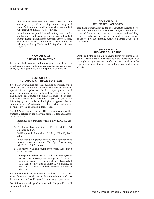<span id="page-17-0"></span>fire-retardant treatments to achieve a Class "B" roof covering rating. Wood roofing in state designated Urban Wildland and High Fire Zones shall be permitted when installed in class "A" assemblies.

3. Jurisdictions that prohibit wood roofing materials for application as roof coverings and roof assemblies shall submit documentation for the adoption. Express Terms, statement of reasons and minutes of the action by the adopting authority Health and Safety Code, Section 18959(f).

#### **SECTION 8-409 FIRE ALARM SYSTEMS**

Every qualified historical building or property shall be provided with fire alarm systems as required for the use or occupancy by the regular code or other approved alternative.

#### **SECTION 8-410 AUTOMATIC SPRINKLER SYSTEMS**

**8-410.1** Every qualified historical building or property which cannot be made to conform to the construction requirements specified in the regular code for the occupancy or use, and which constitutes a distinct fire hazard (for definition of "distinct hazard," see Chapter 8-2), shall be deemed to be in compliance if provided with an automatic sprinkler system or a life-safety system or other technologies as approved by the enforcing agency. ("Automatic" is defined in the regular code. Sprinkler System is defined in this section.)

**8-410.2** When required by the CHBC, an automatic sprinkler systems is defined by the following standards (for nonhazardous occupancies).

- 1. Buildings of four stories or less: NFPA 13R, 2002 edition.
- 2. For floors above the fourth, NFPA 13, 2002, SFM amended edition.
- 3. Buildings with floors above 75 feet, NFPA 13, 2002 edition.
- 4. When the building is free standing or with property line separation, two floors and 1500 sf per floor or less, NFPA 13D, 2002 Edition.
- 5. For exterior wall and opening protection. As required by this section.

**Exception:** When the automatic sprinkler systems are used to reach compliance using this code, in three or more occasions, the system shall be NFPA standard 13D shall be increased to NFPA 13R Standard, or NFPA 13R standard shall be increased to a NFPA 13 standard.

**8-410.3** Automatic sprinkler systems shall not be used to substitute for or act as an alternate to the required number of exits from any facility. (See Chapter 8-5 for exiting requirements.)

**8-410.4** An automatic sprinkler system shall be provided in all detention facilities.

#### **SECTION 8-411 OTHER TECHNOLOGIES**

Fire alarm systems, smoke and heat detection systems, occupant notification and annunciation systems, smoke control systems and fire modeling, times egress analysis and modeling, as well as other engineering methods and technologies may be accepted by the enforcing agency to address areas of nonconformance.

#### **SECTION 8-412 HIGH-RISE BUILDINGS**

Qualified historical buildings having floors for human occupancy located more than 75 feet above the lowest floor level having building access shall conform to the provisions of the regular code for existing high-rise buildings as amended by the CHBC.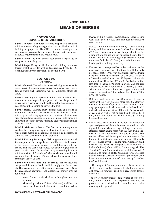# **CHAPTER 8-5 MEANS OF EGRESS**

#### <span id="page-18-0"></span>**SECTION 8-501 PURPOSE, INTENT AND SCOPE**

**8-501.1 Purpose.** The purpose of this chapter is to establish minimum means of egress regulations for qualified historical buildings or properties. The CHBC requires enforcing agencies to accept reasonably equivalent alternatives to the means of egress requirements in the regular code.

**8-501.2 Intent.** The intent of these regulations is to provide an adequate means of egress.

**8-501.3 Scope.** Every qualified historical building or portion thereof shall be provided with exits as required by the CHBC when required by the provisions of Section 8-102.

#### **SECTION 8-502 GENERAL**

**8-502.1 General.** The enforcing agency shall grant reasonable exceptions to the specific provisions of applicable egress regulations where such exceptions will not adversely affect life safety.

**8-502.2.** Existing door openings and corridor widths of less than dimensions required by regular code shall be permitted where there is sufficient width and height for the occupants to pass through the opening or traverse the exit.

**8-502.3 Stairs.** Existing stairs having risers and treads or width at variance with the regular code are allowed if determined by the enforcing agency to not constitute a distinct hazard. Handrails with nonconforming grip size or extensions are allowed if determined by the enforcing agency to not constitute a distinct hazard.

**8-502.4 Main entry doors.** The front or main entry doors need not be rehung to swing in the direction of exit travel, provided other means or conditions of exiting, as necessary to serve the total occupant load, are provided.

**8-502.5 Existing fire escapes.** Existing previously approved fire escapes and fire escape ladders shall be acceptable as one of the required means of egress, provided they extend to the ground and are easily negotiated, adequately signed and in good working order. Access shall be by an opening having a minimum width of 29 inches (737mm) when open with a sill no more than 30 inches (762mm) above the adjacent floor, landing or approved step.

**8-502.6 New fire escapes and fire escape ladders.** New fire escapes and fire escape ladders which comply with this section shall be acceptable as one of the required means of egress. New fire escapes and new fire escape ladders shall comply with the following:

- 1. Access from a corridor shall not be through an intervening room.
- 2. All openings within 10 feet (3048 mm) shall be protected by three-fourths-hour fire assemblies. When

located within a recess or vestibule, adjacent enclosure walls shall be of not less than one-hour fire-resistive construction.

- 3. Egress from the building shall be by a clear opening having a minimum dimension of not less than 29 inches (737 mm). Such openings shall be openable from the inside without the use of a key or special knowledge or effort. The sill of an opening giving access shall not be more than 30 inches (737 mm) above the floor, step or landing of the building or balcony.
- 4. Fire escape stairways and balconies shall support the dead load plus a live load of not less than 100 pounds per square foot  $(4.79 \text{ kN/m}^2)$  and shall be provided with a top and intermediate handrail on each side. The pitch of the stairway shall not exceed 72 degrees with a minimum width of 18 inches (457 mm). Treads shall not be less than 4 inches (102 mm) in width, and the rise between treads shall not exceed 10 inches (254 mm). All stair and balcony railings shall support a horizontal force of not less than 50 pounds per lineal foot (729.5  $N/m<sup>2</sup>$ ) of railing.
- 5. Balconies shall not be less than 44 inches (1118 mm) in width with no floor opening other than the stairway opening greater than  $\frac{5}{8}$  inch (15.9 mm) in width. Stairway openings in such balconies shall not be less than 22 inches by 44 inches (559 by 1118 mm). The balustrade of each balcony shall not be less than 36 inches (914 mm) high with not more than 9 inches (287 mm) between balusters.
- 6. Fire escapes shall extend to the roof or provide an approved gooseneck ladder between the top floor landing and the roof when serving buildings four or more stories in height having roofs with less than 4 units vertical in 12 units horizontal (33.3 percent slope). Fire escape ladders shall be designed and connected to the building to withstand a horizontal force of 100 pounds (445 N) placed anywhere on the rung. All ladders shall be at least 15 inches (381 mm) wide, located within 12 inches (305 mm) of the building. Ladder rungs shall be  $3/4$  inch (19.1 mm) in diameter and shall be located 12 inches (305 mm) on center. Openings for roof access ladders through cornices and similar projections shall have minimum dimensions of 30 inches by 33 inches (762 by 838 mm).

The length of fire escapes and exit ladder devices shall be limited to that approved by the building official based on products listed by a recognized testing laboratory.

7. The lowest balcony shall not be more than 18 feet (5486 mm) from the ground. Fire escapes shall extend to the ground or be provided with counterbalanced stairs reaching to the ground.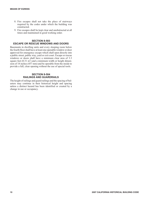- <span id="page-19-0"></span>8. Fire escapes shall not take the place of stairways required by the codes under which the building was constructed.
- 9. Fire escapes shall be kept clear and unobstructed at all times and maintained in good working order.

#### **SECTION 8-503 ESCAPE OR RESCUE WINDOWS AND DOORS**

Basements in dwelling units and every sleeping room below the fourth floor shall have at least one openable window or door approved for emergency escape which shall open directly into a public street, public way, yard or exit court. Escape or rescue windows or doors shall have a minimum clear area of 3.3 square feet  $(0.31 \text{ m}^2)$  and a minimum width or height dimension of 18 inches (457 mm) and be operable from the inside to provide a full, clear opening without the use of special tools.

#### **SECTION 8-504 RAILINGS AND GUARDRAILS**

The height of railings and guard railings and the spacing of balusters may continue in their historical height and spacing unless a distinct hazard has been identified or created by a change in use or occupancy.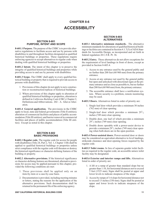# **CHAPTER 8-6 ACCESSIBILITY**

#### <span id="page-20-0"></span>**SECTION 8-601 PURPOSE, INTENT AND SCOPE**

**8-601.1 Purpose.** The purpose of the CHBC is to provide alternative regulations to facilitate access and use by persons with disabilities to and throughout facilities designated as qualified historical buildings or properties. These regulations require enforcing agencies to accept alternatives to regular code when dealing with qualified historical buildings or properties.

**8-601.2 Intent.** The intent of this chapter is to preserve the integrity of qualified historical buildings and properties while providing access to and use by persons with disabilities.

**8-601.3 Scope.** The CHBC shall apply to every qualified historical building or property that is required to provide access to persons with disabilities.

- 1. Provisions of this chapter do not apply to new construction or reconstruction/replicas of historical buildings.
- 2. Where provisions of this chapter apply to alteration of qualified historical buildings or properties, alteration is defined in *California Building Code* (CBC), Chapter 2, Definitions and Abbreviations. 202 – A. Alter or Alteration.

**8-601.4 General application.** The provisions in the CHBC apply to local, state and federal governments (Title II entities); alteration of commercial facilities and places of public accommodation (Title III entities); and barrier removal in commercial facilities and places of public accommodation (Title III entities). Except as noted in this chapter.

#### **SECTION 8-602 BASIC PROVISIONS**

**8-602.1 Regular code.** The regular code for access for people with disabilities (Title 24, Part 2, Vol. 1, Chapter 11B) shall be applied to qualified historical buildings or properties unless strict compliance with the regular code will threaten or destroy the historical significance or character-defining features of the building or property.

**8-602.2 Alternative provisions.** If the historical significance or character-defining features are threatened, alternative provisions for access may be applied pursuant to this chapter, provided the following conditions are met:

- 1. These provisions shall be applied only on an item-by-item or a case-by-case basis.
- 2. Documentation is provided, including meeting minutes or letters, stating the reasons for the application of the alternative provisions. Such documentation shall be retained in the permanent file of the enforcing agency.

#### **SECTION 8-603 ALTERNATIVES**

**8-603.1 Alternative minimum standards.** The alternative minimum standards for alterations of qualified historical buildings or facilities are contained in Section 4.1.7(3) of ADA Standards for Accessible Design, as incorporated and set forth in federal regulation 28 C.F.R. Pt. 36.

**8-603.2 Entry.** These alternatives do not allow exceptions for the requirement of level landings in front of doors, except as provided in Section 8-603.4.

- 1. Access to any entrance used by the general public and no further than 200 feet (60 960 mm) from the primary entrance.
- 2. Access at any entrance not used by the general public but open and unlocked with directional signs at the primary entrance and as close as possible to, but no further than 200 feet (60 960 mm) from, the primary entrance.
- 3. The accessible entrance shall have a notification system. Where security is a problem, remote monitoring may be used.

**8-603.3 Doors.** Alternatives listed in order of priority are:

- 1. Single-leaf door which provides a minimum 30 inches (762 mm) of clear opening.
- 2. Single-leaf door which provides a minimum  $29^{1/2}$ inches (749 mm) clear opening
- 3. Double door, one leaf of which provides a minimum  $29<sup>1</sup>/<sub>2</sub>$  inches (749 mm) clear opening.
- 4. Double doors operable with a power-assist device to provide a minimum  $29^{1}/_2$  inches (749 mm) clear opening when both doors are in the open position.

**8-603.4 Power-assisted doors.** Power-assisted door or doors may be considered an equivalent alternative to level landings, strikeside clearance and door-opening forces required by the regular code.

**8-603.5 Toilet rooms.** In lieu of separate-gender toilet facilities as required in the regular code, an accessible unisex toilet facility may be designated.

**8-603.6 Exterior and interior ramps and lifts.** Alternatives listed in order of priority are:

- 1. A lift or a ramp of greater than standard slope but no greater than 1:10, for horizontal distances not to exceed 5 feet (1525 mm). Signs shall be posted at upper and lower levels to indicate steepness of the slope.
- 2. Access by ramps of 1:6 slope for horizontal distance not to exceed 13 inches (330 mm). Signs shall be posted at upper and lower levels to indicate steepness of the slope.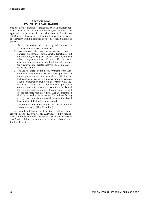#### **SECTION 8-604 EQUIVALENT FACILITATION**

<span id="page-21-0"></span>Use of other designs and technologies, or deviation from particular technical and scoping requirements, are permitted if the application of the alternative provisions contained in Section 8-603 would threaten or destroy the historical significance or character-defining features of the historical building or property.

- 1. Such alternatives shall be applied only on an item-by-item or a case-by-case basis.
- 2. Access provided by experiences, services, functions, materials and resources through methods including, but not limited to, maps, plans, videos, virtual reality and related equipment, at accessible levels. The alternative design and/or technologies used will provide substantially equivalent or greater accessibility to, and usability of, the facility.
- 3. The official charged with the enforcement of the standards shall document the reasons for the application of the design and/or technologies and their effect on the historical significance or character-defining features. Such documentation shall be in accordance with Section 8-602.2, Item 2, and shall include the opinion and comments of state or local accessibility officials, and the opinion and comments of representative local groups of people with disabilities. Such documentation shall be retained in the permanent file of the enforcing agency. Copies of the required documentation should be available at the facility upon request.

**Note:** For commercial facilities and places of public accommodation (Title III entities).

Equivalent facilitation for an element of a building or property when applied as a waiver of an ADA accessibility requirement will not be entitled to the Federal Department of Justice certification of this code as rebuttable evidence of compliance for that element.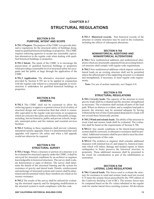# **CHAPTER 8-7 STRUCTURAL REGULATIONS**

#### <span id="page-22-0"></span>**SECTION 8-701 PURPOSE, INTENT AND SCOPE**

**8-701.1 Purpose.** The purpose of the CHBC is to provide alternative regulations for the structural safety of buildings designated as qualified historical buildings or properties. The CHBC requires enforcing agencies to accept any reasonably equivalent alternatives to the regular code when dealing with qualified historical buildings or properties.

**8-701.2 Intent.** The intent of the CHBC is to encourage the preservation of qualified historical buildings or properties while providing a reasonable level of structural safety for occupants and the public at large through the application of the CHBC.

**8-701.3 Application.** The alternative structural regulations provided by Section 8-705 are to be applied in conjunction with the regular code whenever a structural upgrade or reconstruction is undertaken for qualified historical buildings or properties.

#### **SECTION 8-702 GENERAL**

**8-702.1** The CHBC shall not be construed to allow the enforcing agency to approve or permit a lower level of safety of structural design and construction than that which is reasonably equivalent to the regular code provisions in occupancies which are critical to the safety and welfare of the public at large, including, but not limited to, public and private schools, hospitals, municipal police and fire stations and essential services facilities.

**8-702.2** Nothing in these regulations shall prevent voluntary and partial seismic upgrades when it is demonstrated that such upgrades will improve life safety and when a full upgrade would not otherwise be required.

#### **SECTION 8-703 STRUCTURAL SURVEY**

**8-703.1 Scope.** When a structure or portion of a structure is to be evaluated for structural capacity under the CHBC, it shall be surveyed for structural conditions by an architect or engineer knowledgeable in historical structures. The survey shall evaluate deterioration or signs of distress. The survey shall determine the details of the structural framing and the system for resistance of gravity and lateral loads. Details, reinforcement and anchorage of structural systems and veneers shall be determined and documented where these members are relied on for seismic resistance.

**8-703.2** The results of the survey shall be utilized for evaluating the structural capacity and for designing modifications to the structural system to reach compliance with this code.

**8-703.3 Historical records.** Past historical records of the structure or similar structures may be used in the evaluation, including the effects of subsequent alterations.

#### **SECTION 8-704 NONHISTORICAL ADDITIONS AND NONHISTORICAL ALTERATIONS**

**8-704.1** New nonhistorical additions and nonhistorical alterations which are structurally separated from an existing historical structure shall comply with regular code requirements.

**8-704.2** New nonhistorical additions which impose vertical or lateral loads on an existing structure shall not be permitted unless the affected part of the supporting structure is evaluated and strengthened, if necessary, to meet regular code requirements.

**Note:** For use of archaic materials, see Chapter 8-8.

#### **SECTION 8-705 STRUCTURAL REGULATIONS**

**8-705.1 Gravity loads.** The capacity of the structure to resist gravity loads shall be evaluated and the structure strengthened as necessary. The evaluation shall include all parts of the load path. Where no distress is evident, and a complete load path is present, the structure may be assumed adequate by having withstood the test of time if anticipated dead and live loads will not exceed those historically present.

**8-705.2 Wind and seismic loads.** The ability of the structure to resist wind and seismic loads shall be evaluated. The evaluation shall be based on the requirements of Section 8-706.

**8.705.2.1** Any unsafe conditions in the lateral-load-resisting system shall be corrected, or alternative resistance shall be provided. Additional resistance shall be provided to meet the minimum requirements of this code.

**8.705.2.2** The architect or engineer shall consider additional measures with minimal loss of, and impact to, historical materials which will reduce damage and needed repairs in future earthquakes to better preserve the historical structure in perpetuity. These additional measures shall be presented to the owner for consideration as part of the rehabilitation or restoration.

#### **SECTION 8-706 LATERAL LOAD REGULATIONS**

**8-706.1 Lateral loads.** The forces used to evaluate the structure for resistance to wind and seismic loads need not exceed 0.75 times the seismic forces prescribed by the 1995 edition of the *California Building Code* (CBC). The seismic forces may be computed based on the *Rw* values tabulated in the regular code for similar lateral-force-resisting systems. All deviations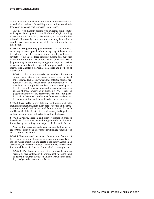of the detailing provisions of the lateral-force-resisting systems shall be evaluated for stability and the ability to maintain load-carrying capacity at increased lateral loads.

Unreinforced masonry bearing wall buildings shall comply with Appendix Chapter 1 of the *Uniform Code for Building* Conservation<sup>™</sup> (UCBC™), 1994 edition, and as modified by this code. Reasonably equivalent standards may be used on a case-by-case basis when approved by the authority having jurisdiction.

**8-706.2 Existing building performance.** The seismic resistance may be based upon the ultimate capacity of the structure to perform, giving due consideration to ductility and reserve strength of the lateral-force-resisting system and materials while maintaining a reasonable factor of safety. Broad judgment may be exercised regarding the strength and performance of materials not recognized by regular code requirements. (See Chapter 8-8, Archaic Materials and Methods of Construction.)

**8-706.2.1**All structural materials or members that do not comply with detailing and proportioning requirements of the regular code shall be evaluated for potential seismic performance and the consequence of noncompliance. All members which might fail and lead to possible collapse, or threaten life safety, when subjected to seismic demands in excess of those prescribed in Section 8-706.1, shall be judged unacceptable, and appropriate structural strengthening shall be developed. Anchorages for veneers and decorative ornamentation shall be included in this evaluation.

**8-706.3 Load path.** A complete and continuous load path, including connections, from every part or portion of the structure to the ground shall be provided for the required forces. It shall be verified that the structure is adequately tied together to perform as a unit when subjected to earthquake forces.

**8-706.4 Parapets.** Parapets and exterior decoration shall be investigated for conformance with regular code requirements for anchorage and ability to resist prescribed seismic forces.

An exception to regular code requirements shall be permitted for those parapets and decorations which are judged not to be a hazard to life safety.

**8-706.5 Nonstructural features.** Nonstructural features of historical structure, such as exterior veneer, cornices and decorations, which might fall and create a life-safety hazard in an earthquake, shall be investigated. Their ability to resist seismic forces shall be verified, or the feature shall be strengthened.

**8-706.5.1** Partitions and ceilings of corridors and stairways serving an occupant load of 30 or more shall be investigated to determine their ability to remain in place when the building is subjected to earthquake forces.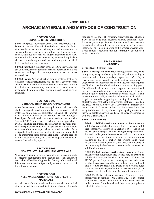#### **CHAPTER 8-8**

## <span id="page-24-0"></span>**ARCHAIC MATERIALS AND METHODS OF CONSTRUCTION**

#### **SECTION 8-801 PURPOSE, INTENT AND SCOPE**

**8-801.1 Purpose.** The purpose of the CHBC is to provide regulations for the use of historical methods and materials of construction that are at variance with regular code requirements or are not otherwise codified, in buildings or structures designated as qualified historical buildings or properties. The CHBC require enforcing agencies to accept any reasonably equivalent alternatives to the regular code when dealing with qualified historical buildings or properties.

**8-801.2 Intent.** It is the intent of the CHBC to provide for the use of historical methods and materials of construction that are at variance with specific code requirements or are not otherwise codified.

**8-801.3 Scope.** Any construction type or material that is, or was, part of the historical fabric of a structure is covered by this chapter. Archaic materials and methods of construction present in a historical structure may remain or be reinstalled or be installed with new materials of the same class to match existing conditions.

#### **SECTION 8-802 GENERAL ENGINEERING APPROACHES**

Allowable stresses or ultimate strengths for archaic materials shall be assigned based upon similar conventional codified materials, or on tests as hereinafter indicated. The archaic materials and methods of construction shall be thoroughly investigated for their details of construction in accordance with Section 8-703. Testing shall be performed when applicable to evaluate existing conditions. The architect or structural engineer in responsible charge of the project shall assign allowable stresses or ultimate strength values to archaic materials. Such assigned allowable stresses, or ultimate strength values, shall not be greater than those provided for in the following sections without adequate testing, and shall be subject to the concurrence of the enforcing agency.

#### **SECTION 8-803 NONSTRUCTURAL ARCHAIC MATERIALS**

Where nonstructural historical materials exist in uses which do not meet the requirements of the regular code, their continued use is allowed by this code, provided that any public health and life-safety hazards are mitigated subject to the concurrence of the enforcing agency.

#### **SECTION 8-804 ALLOWABLE CONDITIONS FOR SPECIFIC MATERIALS**

Archaic materials which exist and are to remain in historical structures shall be evaluated for their condition and for loads required by this code. The structural survey required in Section 8-703 of this code shall document existing conditions, reinforcement, anchorage, deterioration and other factors pertinent to establishing allowable stresses and adequacy of the archaic materials. The remaining portion of this chapter provides additional specific requirements for commonly encountered archaic materials.

#### **SECTION 8-805 MASONRY**

For adobe, see Section 8-806.

**8-805.1 Existing solid masonry.** Existing solid masonry walls of any type, except adobe, may be allowed, without testing, a maximum value of nine pounds per square inch (62.1 kPa) in shear where there is a qualifying statement by the architect or engineer that an inspection has been made, that mortar joints are filled and that both brick and mortar are reasonably good. The allowable shear stress above applies to unreinforced masonry, except adobe, where the maximum ratio of unsupported height or length to thickness does not exceed 12, and where minimum quality mortar is used or exists. Wall height or length is measured to supporting or resisting elements that are at least twice as stiff as the tributary wall. Stiffness is based on the gross section. Allowable shear stress may be increased by the addition of 10 percent of the axial direct stress due to the weight of the wall directly above. Higher-quality mortar may provide a greater shear value and shall be tested in accordance with UBC Standard 21-6.

#### **8-805.2 Stone masonry.**

**8-805.2.1 Solid-backed stone masonry.** Stone masonry solidly backed with brick masonry shall be treated as solid brick masonry as described in Section 8-805.1 and in the UCBC, provided representative testing and inspection verifies solid collar joints between stone and brick and that a reasonable number of stones lap with the brick wythes as headers or that steel anchors are present. Solid stone masonry where the wythes of stone effectively overlap to provide the equivalent header courses may also be treated as solid brick masonry.

**8-805.2.2 Independent wythe stone masonry.** Stone masonry with independent face wythes may be treated as solid brick masonry as described in Section 8-805.1 and the UCBC, provided representative testing and inspection verify that the core is essentially solid in the masonry wall and that steel ties are epoxied in drilled holes between outer stone wythes at floors, roof and not to exceed 4 feet (1219 mm) on center in each direction, between floors and roof.

**8-805.2.3 Testing of stone masonry.** Testing of stone masonry shall be similar to UBC Standard 21-6, except that representative stones which are not interlocked shall be pulled outward from the wall and shear area appropriately calculated after the test.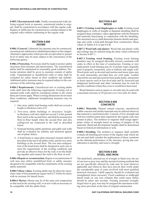<span id="page-25-0"></span>**8-805.3 Reconstructed walls.** Totally reconstructed walls utilizing original brick or masonry, constructed similar to original, shall be constructed in accordance with the regular code. Repairs or infills may be constructed in a similar manner to the original walls without conforming to the regular code.

#### **SECTION 8-806 ADOBE**

**8-806.1 General.** Unburned clay masonry may be constructed, reconstructed, stabilized or rehabilitated subject to this chapter. Alternative approaches which provide an equivalent or greater level of safety may be used, subject to the concurrence of the enforcing agency.

**8-806.2 Protection.** Provisions shall be made to protect adobe structures from moisture and deterioration. The unreinforced adobe shall be maintained in reasonably good condition. Particular attention shall be given to moisture content of adobe walls. Unmaintained or unstabilized walls or ruins shall be evaluated for safety based on their condition and stability. Additional safety measures may be required subject to the concurrence of the enforcing agency.

**8-806.3 Requirements.** Unreinforced new or existing adobe walls shall meet the following requirements. Existing sod or rammed earth walls shall be considered similar to the extent these provisions apply. Where existing dimensions do not meet these conditions, additional strengthening measures may be required.

- 1. One-story adobe load-bearing walls shall not exceed a height-to-thickness ratio of 6.
- 2. Two-story adobe buildings or structures' heightto-thickness wall ratio shall not exceed 5 at the ground floor and 6 at the second floor, and shall be measured at floor-to-floor height when the second floor and attic ceiling/roof are connected to the wall as described below.
- 3. Nonload-bearing adobe partitions and gable end walls shall be evaluated for stability and anchored against out-of-plane failure.
- 4. A bond beam or equivalent structural element shall be provided at the top of all adobe walls, and for two-story buildings at the second floor. The size and configuration of the bond beam shall be designed in each case to meet the requirements of the existing conditions and provide an effective brace for the wall, to tie the building together and connect the wall to the floor or roof.

**8-806.4 Repair or reconstruction.** Repair or reconstruction of wall area may utilize unstabilized brick or adobe masonry designed to be compatible with the constituents of the existing adobe materials.

**8-806.5 Shear values.** Existing adobe may be allowed a maximum value of four pounds per square inch (27.6 kPa) for shear, with no increase for lateral forces.

**8-806.6 Mortar.** Mortar may be of the same soil composition as that used in the existing wall, or in new walls as necessary to be compatible with the adobe brick.

#### **SECTION 8-807 WOOD**

**8-807.1 Existing wood diaphragms or walls.** Existing wood diaphragms or walls of straight or diagonal sheathing shall be assigned shear resistance values appropriate with the fasteners and materials functioning in conjunction with the sheathing. The structural survey shall determine fastener details and spacings and verify a load path through floor construction. Shear values of Tables 8-8-A and 8-8-B.

**8-807.2 Wood lath and plaster.** Wood lath and plaster walls and ceilings may be utilized using the shear values referenced in Section 8-807.1.

**8-807.3 Existing wood framing.** Existing wood framing members may be assigned allowable stresses consistent with codes in effect at the time of construction. Existing or new replacement wood framing may be of archaic types originally used if properly researched, such as balloon and single wall. Wood joints such as dovetail and mortise and tenon types may be used structurally, provided they are well made. Lumber selected for use and type need not bear grade marks, and greater or lesser species such as low-level pine and fir, boxwood and indigenous hardwoods and other variations may be used for specific conditions where they were or would have been used.

Wood fasteners such as square or cut nails may be used with a maximum increase of 50 percent over wire nails for shear.

#### **SECTION 8-808 CONCRETE**

**8-808.1 Materials.** Natural cement concrete, unreinforced rubble concrete and similar materials may be utilized wherever that material is used historically. Concrete of low strength and with less reinforcement than required by the regular code may remain in place. The architect or engineer shall assign appropriate values of strength based on testing of samples of the materials. Bond and development lengths shall be determined based on historical information or tests.

**8-808.2 Detailing.** The architect or engineer shall carefully evaluate all detailing provisions of the regular code which are not met and shall consider the implications of these variations on the ultimate performance of the structure, giving due consideration to ductility and reserve strength.

#### **SECTION 8-809 STEEL AND IRON**

The hand-built, untested use of wrought or black iron, the use of cast iron or grey iron, and the myriad of joining methods that are not specifically allowed by code may be used wherever applicable and wherever they have proven their worth under the considerable span of years involved with most qualified historical structures. Uplift capacity should be evaluated and strengthened where necessary. Fixed conditions or midheight lateral loads on cast iron columns that could cause failure should be taken into account. Existing structural wrought, forged steel or grey iron may be assigned the maximum working stress prevalent at the time of original construction.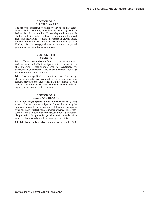#### **SECTION 8-810 HOLLOW CLAY TILE**

<span id="page-26-0"></span>The historical performance of hollow clay tile in past earthquakes shall be carefully considered in evaluating walls of hollow clay tile construction. Hollow clay tile bearing walls shall be evaluated and strengthened as appropriate for lateral loads and their ability to maintain support of gravity loads. Suitable protective measures shall be provided to prevent blockage of exit stairways, stairway enclosures, exit ways and public ways as a result of an earthquake.

#### **SECTION 8-811 VENEERS**

**8-811.1 Terra cotta and stone.** Terra cotta, cast stone and natural stone veneers shall be investigated for the presence of suitable anchorage. Steel anchors shall be investigated for deterioration or corrosion. New or supplemental anchorage shall be provided as appropriate.

**8-811.2 Anchorage.** Brick veneer with mechanical anchorage at spacings greater than required by the regular code may remain, provided the anchorages have not corroded. Nail strength in withdrawal in wood sheathing may be utilized to its capacity in accordance with code values.

#### **SECTION 8-812 GLASS AND GLAZING**

**8-812.1 Glazing subject to human impact.** Historical glazing material located in areas subject to human impact may be approved subject to the concurrence of the enforcing agency when alternative protective measures are provided. These measures may include, but not be limited to, additional glazing panels, protective film, protective guards or systems, and devices or signs which would provide adequate public safety.

**8-812.2 Glazing in fire-rated systems.** See Section 8-402.3.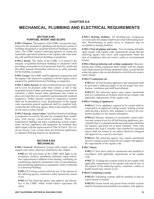#### **CHAPTER 8-9**

## <span id="page-28-0"></span>**MECHANICAL, PLUMBING AND ELECTRICAL REQUIREMENTS**

#### **SECTION 8-901 PURPOSE, INTENT AND SCOPE**

**8-901.1 Purpose.** The purpose of the CHBC is to provide regulations for the mechanical, plumbing and electrical systems of buildings designated as qualified historical buildings or properties. The CHBC requires enforcing agencies to accept any reasonable equivalent solutions to the regular code when dealing with qualified historical buildings or properties.

**8-901.2 Intent.** The intent of the CHBC is to preserve the integrity of qualified historical buildings or properties while providing a reasonable level of protection from fire, health and life-safety hazards (hereinafter referred to as safety hazards) for the building occupants.

**8-901.3 Scope.** The CHBC shall be applied in conjunction with the regular code whenever compliance with the regular code is required for qualified historical buildings or properties.

**8-901.4 Safety hazard.** No person shall permit any safety hazard to exist on premises under their control, or fail to take immediate action to abate such hazard. Existing systems which constitute a safety hazard when operational may remain in place, provided they are completely and permanently rendered inoperative. Safety hazards created by inoperative systems shall not be permitted to exist. Requirements of the regular code concerning general regulations shall be complied with, except that the enforcing agency shall accept solutions which do not cause a safety hazard.

**8-901.5 Energy conservation.** Qualified historical buildings or properties covered by this part are exempted from compliance with energy conservation standards. When new nonhistorical lighting and space conditioning system components, devices, appliances and equipment are installed, they shall comply with the requirements of Title 24, Part 6, *The California Energy Code*, except where the historical significance or character-defining features are threatened.

#### **SECTION 8-902 MECHANICAL**

**8-902.1 General.** Mechanical systems shall comply with the regular code unless otherwise modified by this chapter.

**8-902.1.1** The provisions of the CHBC shall apply to the acceptance, location, installation, alteration, repair, relocation, replacement or addition of any heating, ventilating, air conditioning, domestic incinerators, kilns or miscellaneous heat-producing appliances or equipment within or attached to a historical building.

**8-902.1.2** Existing systems which do not, in the opinion of the enforcing agency, constitute a safety hazard may remain in use.

**8-902.1.3** The enforcing agency may approve any alternative to the CHBC which would achieve equivalent life safety.

**8-902.2 Heating facilities.** All dwelling-type occupancies covered under this chapter shall be provided with heating facilities. Wood-burning or pellet stoves or fireplaces may be acceptable as heating facilities.

**8-902.3 Fuel oil piping and tanks.** Fuel oil piping and tanks shall comply with regular code requirements except that the enforcing agency may waive such requirements where the lack of compliance does not create a safety or environmental hazard.

**8-902.4 Heat-producing and cooling equipment.** Heat-producing and cooling equipment shall comply with the regular code requirements governing equipment safety, except that the enforcing agency may accept alternatives which do not create a safety hazard.

#### **8-902.5 Combustion air.**

**8-902.5.1** All fuel-burning appliances and equipment shall be provided a sufficient supply of air for proper fuel combustion, ventilation and draft hood dilution.

**8-902.5.2** The enforcing agency may require operational tests for combustion air systems which do not comply with applicable requirements of the regular code.

#### **8-902.6 Venting of appliances.**

**8-902.6.1** Every appliance required to be vented shall be connected to an approved venting system. Venting systems shall develop a positive flow adequate to convey all combustion products to the outside atmosphere.

**8-902.6.2** Masonry chimneys in structurally sound condition may remain in use for all fuel-burning appliances, provided the flue is evaluated and documentation provided that the masonry and grout are in good condition. Terra cotta chimneys and Type C metallic vents installed in concealed spaces shall not remain in use unless otherwise mitigated and approved on a case-by-case basis.

**8-902.6.3** The enforcing agency may require operational tests for venting systems which do not comply with applicable requirements of the regular code.

#### **8-902.7 Ducts.**

**8-902.7.1** New ducts shall be constructed and installed in accordance with applicable requirements of the regular code.

**8-902.7.2** Existing duct systems which do not comply with applicable requirements of the regular code and do not, in the opinion of the enforcing agency, constitute a safety or health hazard may remain in use.

#### **8-902.8 Ventilating systems.**

**8-902.8.1** Ventilating systems shall be installed so that no safety hazard is created.

**8-902.8.2** Grease hoods and grease hood exhaust systems shall be furnished and installed in accordance with applica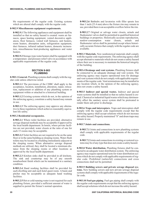<span id="page-29-0"></span>ble requirements of the regular code. Existing systems which are altered shall comply with the regular code.

#### **8-902.9 Miscellaneous equipment requirements.**

**8-902.9.1** The following appliances and equipment shall be installed so that no safety hazard is created: warm air furnaces, space heating equipment, vented decorative appliances, floor furnaces, vented wall furnaces, unit heaters, room heaters, absorption units, refrigeration equipment, duct furnaces, infrared radiant heaters, domestic incinerators, miscellaneous heat-producing appliances and water heaters.

**8-902.9.2** Storage-type water heaters shall be equipped with a temperature- and pressure-relief valve in accordance with applicable requirements of the regular code.

#### **SECTION 8-903 PLUMBING**

**8-903.1 General.** Plumbing systems shall comply with the regular code unless otherwise noted.

**8-903.1.1** The provisions of the CHBC shall apply to the acceptance, location, installation, alteration, repair, relocation, replacement or addition of any plumbing system or equipment within or attached to a historical building.

**8-903.1.2** Existing systems which do not, in the opinion of the enforcing agency, constitute a safety hazard may remain in use.

**8-903.1.3** The enforcing agency may approve any alternative to these regulations which achieves reasonably equivalent life safety.

#### **8-903.2 Residential occupancies.**

**8-903.2.1** Where toilet facilities are provided, alternative sewage disposal methods may be acceptable if approved by the local health department. In hotels, where private facilities are not provided, water closets at the ratio of one for each 15 rooms may be acceptable.

**8-903.2.2** Toilet facilities are not required to be on the same floor or in the same building as sleeping rooms. Water-flush toilets may be located in a building immediately adjacent to the sleeping rooms. When alternative sewage disposal methods are utilized, they shall be located a minimum distance from the sleeping rooms or other locations as approved by the local health department.

**8-903.2.3** Kitchen sinks shall be provided in all kitchens. The sink and countertop may be of any smooth nonabsorbent finish which can be maintained in a sanitary condition.

**8-903.2.4** Hand washing facilities shall be provided for each dwelling unit and each hotel guest room. A basin and pitcher may be acceptable as adequate hand washing facilities.

**8-903.2.5** Hot or cold running water is not required for each plumbing fixture, provided a sufficient amount of water is supplied to permit the fixture's normal operation.

**8-903.2.6** Bathtubs and lavatories with filler spouts less than 1 inch (25.4 mm) above the fixture rim may remain in use, provided there is an acceptable overflow below the rim.

**8-903.2.7** Original or salvage water closets, urinals and flushometer valves shall be permitted in qualified historical buildings or properties. Historically accurate reproduction, nonlow-consumption water closets, urinals and flushometer valves shall be permitted except where historically accurate fixtures that comply with the regular code are available.

**8-903.3 Materials.** New nonhistorical materials shall comply with the regular code requirements. The enforcing agency shall accept alternative materials which do not create a safety hazard where their use is necessary to maintain the historical integrity of the building.

**8-903.4 Drainage and vent systems.** Plumbing fixtures shall be connected to an adequate drainage and vent system. The enforcing agency may require operational tests for drainage and vent systems which do not comply with applicable requirements of the regular code. Vent terminations may be installed in any location which, in the opinion of the enforcing agency, does not create a safety hazard.

**8-903.5 Indirect and special wastes.** Indirect and special waste systems shall be installed so that no safety hazard is created. Chemical or industrial liquid wastes which may detrimentally affect the sanitary sewer system shall be pretreated to render them safe prior to discharge.

**8-903.6 Traps and interceptors.** Traps and interceptors shall comply with the regular code requirements except that the enforcing agency shall accept solutions which do not increase the safety hazard. Properly maintained "S" and drum traps may remain in use.

#### **8-903.7 Joints and connections.**

**8-903.7.1** Joints and connections in new plumbing systems shall comply with applicable requirements of the regular code.

**8-903.7.2** Joints and connections in existing or restored systems may be of any type that does not create a safety hazard.

**8-903.8 Water distribution.** Plumbing fixtures shall be connected to an adequate water distribution system. The enforcing agency may require operational tests for water distribution systems which do not comply with applicable requirements of regular code. Prohibited (unlawful) connections and cross connections shall not be permitted.

**8-903.9 Building sewers and private sewage disposal systems.** New building sewers and new private sewage disposal systems shall comply with applicable requirements of the regular code.

**8-903.10 Fuel-gas piping.** Fuel-gas piping shall comply with the regular code requirements except that the enforcing agency shall accept solutions which do not increase the safety hazard.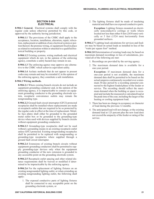#### **SECTION 8-904 ELECTRICAL**

<span id="page-30-0"></span>**8-904.1 General.** Electrical systems shall comply with the regular code unless otherwise permitted by this code, or approved by the authority having jurisdiction.

**8-904.1.1** The provisions of the CHBC shall apply to the acceptance, location, installation, alteration, repair, relocation, replacement or addition of any electrical system or portion thereof, the premise wiring, or equipment fixed in place as related to restoration within or attached to a qualified historical building or property.

**8-904.1.2** Existing systems, wiring methods and electrical equipment which do not, in the opinion of the enforcing agency, constitute a safety hazard may remain in use.

**8-904.1.3** The enforcing agency may approve any alternative to the CHBC which achieves equivalent safety.

**8-904.1.4** Archaic methods that do not appear in present codes may remain and may be extended if, in the opinion of the enforcing agency, they constitute a safe installation.

#### **8-904.2 Wiring methods.**

**8-904.2.1** Where existing branch circuits do not include an equipment grounding conductor and, in the opinion of the enforcing agency, it is impracticable to connect an equipment grounding conductor to the grounding electrode system, receptacle convenience outlets may remain the nongrounding type.

**8-904.2.2** Ground fault circuit interrupter (GFCI) protected receptacles shall be installed where replacements are made at receptacle outlets that are required to be so protected by the regular code in effect at the time of replacement. Metallic face plates shall either be grounded to the grounded metal outlet box or be grounded to the grounding-type device when used with devices supplied by branch circuits without equipment grounding conductors.

**8-904.2.3** Grounding-type receptacles shall not be used without a grounding means in an existing receptacle outlet unless GFCI protected. Existing nongrounding receptacles shall be permitted to be replaced with nongrounding or grounding-type receptacles where supplied through a ground fault circuit interrupter.

**8-904.2.4** Extensions of existing branch circuits without equipment-grounding conductors shall be permitted to supply grounding-type devices only when the equipment grounding conductor of the new extension is grounded to any accessible point on the grounding electrode system.

**8-904.2.5** Receptacle outlet spacing and other related distance requirements shall be waived or modified if determined to be impracticable by the enforcing agency.

**8-904.2.6** For the replacement of lighting fixtures on an existing nongrounded lighting outlet, or when extending an existing nongrounding lighting outlet, the following shall apply:

1. The exposed conductive parts of lighting fixtures shall be connected to any acceptable point on the grounding electrode system, or

2. The lighting fixtures shall be made of insulating material and shall have no exposed conductive parts.

**Exception:** Lighting fixtures mounted on electrically nonconductive ceilings or walls where located not less than either 8 feet (2438 mm) vertically or 5 feet (1524 mm) horizontally from grounded surfaces.

**8-904.2.7** Lighting load calculations for services and feeders may be based on actual loads as installed in lieu of the "watts per square foot" method.

**8-904.2.8** Determination of existing loads may be based on maximum demand recordings in lieu of calculations, provided all of the following are met:

- 1. Recordings are provided by the serving agency.
- 2. The maximum demand data is available for a one-year period.

**Exception:** If maximum demand data for a one-year period is not available, the maximum demand data shall be permitted to be based on the actual amperes continuously recorded over a minimum 30-day period by a recording ammeter connected to the highest loaded phase of the feeder or service. The recording should reflect the maximum demand when the building or space is occupied and include the measured or calculated load at the peak time of the year, including the larger of the heating or cooling equipment load.

- 3. There has been no change in occupancy or character of load during the previous 12 months.
- 4. The anticipated load will not change, or the existing demand load at 125 percent plus the new load does not exceed the ampacity of the feeder or rating of the service.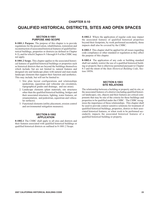#### **CHAPTER 8-10**

## <span id="page-32-0"></span>**QUALIFIED HISTORICAL DISTRICTS, SITES AND OPEN SPACES**

#### **SECTION 8-1001 PURPOSE AND SCOPE**

**8-1001.1 Purpose.** The purpose of this chapter is to provide regulations for the preservation, rehabilitation, restoration and reconstruction of associated historical features of qualified historical buildings, properties or districts (as defined in Chapter 8-2), and for which Chapters 8-3 through 8-9 of the CHBC may not apply.

**8-1001.2 Scope.** This chapter applies to the associated historical features of qualified historical buildings or properties such as historical districts that are beyond the buildings themselves which include, but are not limited to, natural features and designed site and landscape plans with natural and man-made landscape elements that support their function and aesthetics. This may include, but will not be limited to:

- 1. Site plan layout configurations and relationships (pedestrian, equestrian and vehicular site circulation, topographical grades and drainage, and use areas).
- 2. Landscape elements (plant materials, site structures other than the qualified historical building, bridges and their associated structures, lighting, water features, art ornamentation, and pedestrian, equestrian and vehicular surfaces).
- 3. Functional elements (utility placement, erosion control and environmental mitigation measures).

#### **SECTION 8-1002 APPLICATION**

**8-1002.1** The CHBC shall apply to all sites and districts and their features associated with qualified historical buildings or qualified historical districts as outlined in 8-1001.2 Scope.

**8-1002.2** Where the application of regular code may impact the associated features of qualified historical properties beyond their footprints, by work performed secondarily, those impacts shall also be covered by the CHBC.

**8-1002.3** This chapter shall be applied for all issues regarding code compliance or other standard or regulation as they affect the purpose of this chapter.

**8-1002.4** The application of any code or building standard shall not unduly restrict the use of a qualified historical building or property that is otherwise permitted pursuant to Chapter 8-3 and the intent of the *State Historical Building Code*, Section 18956.

#### **SECTION 8-1003 SITE RELATIONS**

The relationship between a building or property and its site, or the associated features of a district (including qualified historical landscape), site, objects and their features are critical components that may be one of the criteria for these buildings and properties to be qualified under the CHBC. The CHBC recognizes the importance of these relationships. This chapter shall be used to provide context sensitive solutions for treatment of qualified historical buildings, properties, district or their associated historical features, or when work to be performed secondarily impacts the associated historical features of a qualified historical building or property.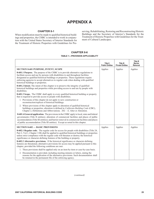## **APPENDIX A**

#### **CHAPTER 8-1**

<span id="page-34-0"></span>When modification must be made to qualified historical buildings and properties, the CHBC is intended to work in conjunction with the United States Secretary of Interior Standards for the Treatment of Historic Properties with Guidelines for Preserving, Rehabilitating, Restoring and Reconstructing Historic Buildings and the Secretary of Interior's Standards for the Treatment of Historic Properties with Guidelines for the Treatment of Cultural Landscapes.

## **CHAPTER 8-6**

#### **TABLE 1—PROVISION APPLICABILITY**

|                                                                                                                                                                                                                                                                                                                                                                                                   | <b>Title II</b><br><b>Public Entities</b> | <b>Title III</b><br><b>Private Entities</b> | <b>Title III</b><br><b>Barrier</b><br>Removal |
|---------------------------------------------------------------------------------------------------------------------------------------------------------------------------------------------------------------------------------------------------------------------------------------------------------------------------------------------------------------------------------------------------|-------------------------------------------|---------------------------------------------|-----------------------------------------------|
| <b>SECTION 8-601 PURPOSE, INTENT, SCOPE</b>                                                                                                                                                                                                                                                                                                                                                       | Applies                                   | Applies                                     | Applies                                       |
| 8-601.1 Purpose. The purpose of the CHBC is to provide alternative regulations to<br>facilitate access and use by persons with disabilities to and throughout facilities<br>designated as qualified historical buildings or properties. These regulations require<br>enforcing agencies to accept alternatives to regular code when dealing with qualified<br>historical buildings or properties. |                                           |                                             |                                               |
| 8-601.2 Intent. The intent of this chapter is to preserve the integrity of qualified<br>historical buildings and properties while providing access to and use by people with<br>disabilities.                                                                                                                                                                                                     |                                           |                                             |                                               |
| 8-601.3 Scope. The CHBC shall apply to every qualified historical building or property<br>that is required to provide access to people with disabilities.                                                                                                                                                                                                                                         |                                           |                                             |                                               |
| 1. Provisions of this chapter do not apply to new construction or<br>reconstruction/replicas of historical buildings.                                                                                                                                                                                                                                                                             |                                           |                                             |                                               |
| 2. Where provisions of this chapter apply to alteration of qualified historical<br>buildings or properties, alteration is defined in <i>California Building Code</i> (CBC),<br>Chapter 2, Definitions and Abbreviations. $202 - A$ . Alter or Alteration.                                                                                                                                         |                                           |                                             |                                               |
| 8-601.4 General application. The provisions in the CHBC apply to local, state and federal<br>governments (Title II entities); alteration of commercial facilities and places of public<br>accommodation (Title III entities); and barrier removal in commercial facilities and places<br>of public accommodation (Title III entities). Except as noted in this chapter.                           |                                           |                                             |                                               |
| <b>SECTION 8-602 - BASIC PROVISIONS</b>                                                                                                                                                                                                                                                                                                                                                           | Applies                                   | Applies                                     | Applies                                       |
| 8-602.1 Regular code. The regular code for access for people with disabilities (Title 24,<br>Part 2, Vol.1, Chapter 11B) shall be applied to qualified historical buildings or properties<br>unless strict compliance with the regular code will threaten or destroy the historical<br>significance or character-defining features of the building or property.                                   |                                           |                                             |                                               |
| 8-602.2 Alternative provisions. If the historical significance or character-defining<br>features are threatened, alternative provisions for access may be applied pursuant to this<br>chapter, provided the following conditions are met:                                                                                                                                                         |                                           |                                             |                                               |
| 1. These provisions shall be applied only on an item-by-item or case-by-case basis.                                                                                                                                                                                                                                                                                                               |                                           |                                             |                                               |
| 2. Documentation is provided, including meeting minutes or letters, stating the<br>reasons for the application of the alternative provisions. Such documentation shall<br>be retained in the permanent file of the enforcing agency.                                                                                                                                                              |                                           |                                             |                                               |

*(continued)*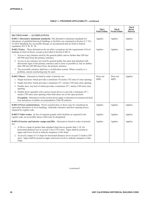| TABLE 1-PROVISION APPLICABILITY-continued |
|-------------------------------------------|
|-------------------------------------------|

|                                                                                                                                                                                                                                                                                                   | Title II<br><b>Public Entities</b> | Title III<br><b>Private Entities</b> | <b>Title III</b><br><b>Barrier</b><br>Removal |
|---------------------------------------------------------------------------------------------------------------------------------------------------------------------------------------------------------------------------------------------------------------------------------------------------|------------------------------------|--------------------------------------|-----------------------------------------------|
| <b>SECTION 8-603 - ALTERNATIVES</b>                                                                                                                                                                                                                                                               |                                    |                                      |                                               |
| 8-603.1 Alternative minimum standards. The alternative minimum standards for<br>alterations of qualified historical buildings or facilities are contained in Section 4.1.7(3)<br>of ADA Standards for Accessible Design, as incorporated and set forth in federal<br>regulation 28 C.F.R. Pt. 36. | Applies                            | Applies                              | Applies                                       |
| 8-603.2 Entry. These alternatives do not allow exceptions for the requirement of level<br>landings in front of doors, except as provided in Section 8-603.4.                                                                                                                                      | Applies                            | Applies                              | Applies                                       |
| 1. Access to any entrance used by the general public and no further than 200 feet<br>(60 960 mm) from the primary entrance.                                                                                                                                                                       |                                    |                                      |                                               |
| 2. Access at any entrance not used by general public but open and unlocked with<br>directional signs at the primary entrance and as close as possible to, but no further<br>than 200 feet (60 960 mm) from, the primary entrance.                                                                 |                                    |                                      |                                               |
| 3. The accessible entrance shall have a notification system. Where security is a<br>problem, remote monitoring may be used.                                                                                                                                                                       |                                    |                                      |                                               |
| 8-603.3 Doors. Alternatives listed in order of priority are:                                                                                                                                                                                                                                      | Does not                           | Does not                             | Applies                                       |
| 1. Single-leaf door which provides a minimum 30 inches (762 mm) of clear opening.                                                                                                                                                                                                                 | apply                              | apply                                |                                               |
| 2. Single-leaf door which provides a minimum $29^{1/2}$ inches (749 mm) clear opening.                                                                                                                                                                                                            |                                    |                                      |                                               |
| 3. Double door, one leaf of which provides a minimum $29^{1/2}$ inches (749 mm) clear<br>opening.                                                                                                                                                                                                 |                                    |                                      |                                               |
| 4. Double doors operable with a power-assist device to provide a minimum $29^{1/2}$<br>inches (749 mm) clear opening when both doors are in the open position.                                                                                                                                    |                                    |                                      |                                               |
| Exception: Alternatives in this section do not apply to alteration of commercial facil-<br>ities and places of public accommodation (Title III entities).                                                                                                                                         |                                    |                                      |                                               |
| 8-603.4 Power-assisted doors. Power-assisted door or doors may be considered an<br>equivalent alternative to level landings, strikeside clearance and door-opening forces<br>required by regular code.                                                                                            | Applies                            | Applies                              | Applies                                       |
| 8-603.5 Toilet rooms. In lieu of separate-gender toilet facilities as required in the<br>regular code, an accessible unisex toilet may be designated.                                                                                                                                             | Applies                            | Applies                              | Applies                                       |
| 8-603.6 Exterior and interior ramps and lifts. Alternatives listed in order of priority<br>are:                                                                                                                                                                                                   | Applies                            | Applies                              | Applies                                       |
| 1. A lift or a ramp of greater than standard slope but no greater than 1:10, for<br>horizontal distances not to exceed 5 feet (1525 mm). Signs shall be posted at<br>upper and lower levels to indicate steepness of the slope.                                                                   |                                    |                                      |                                               |
| 2. Access by ramps of 1:6 slope for horizontal distance not to exceed 13 inches (330)<br>mm). Signs shall be posted at upper and lower levels to indicate steepness of the<br>slope.                                                                                                              |                                    |                                      |                                               |

*(continued)*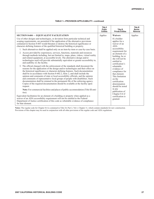|                                                                                                                                                                                                                                                                                                                                                                                                                                                                                                                                                                                                                                                                                                                                                                                                                                                                                                                                                                                                                                                                                                                                                                                                                                                                                                                                                                                                                                                                                                                                                                                                                                                                             | <b>Title II</b><br><b>Public</b><br><b>Entities</b> | Title III<br><b>Private Entities</b>                                                                                                                                                                                                                                                                                                                                                       | Title III<br><b>Barrier</b><br>Removal |
|-----------------------------------------------------------------------------------------------------------------------------------------------------------------------------------------------------------------------------------------------------------------------------------------------------------------------------------------------------------------------------------------------------------------------------------------------------------------------------------------------------------------------------------------------------------------------------------------------------------------------------------------------------------------------------------------------------------------------------------------------------------------------------------------------------------------------------------------------------------------------------------------------------------------------------------------------------------------------------------------------------------------------------------------------------------------------------------------------------------------------------------------------------------------------------------------------------------------------------------------------------------------------------------------------------------------------------------------------------------------------------------------------------------------------------------------------------------------------------------------------------------------------------------------------------------------------------------------------------------------------------------------------------------------------------|-----------------------------------------------------|--------------------------------------------------------------------------------------------------------------------------------------------------------------------------------------------------------------------------------------------------------------------------------------------------------------------------------------------------------------------------------------------|----------------------------------------|
| <b>SECTION 8-604 - EQUIVALENT FACILITATION</b><br>Use of other designs and technologies, or deviation from particular technical and<br>scoping requirements, are permitted if the application of the alternative provisions<br>contained in Section 8-603 would threaten or destroy the historical significance or<br>character-defining features of the qualified historical building or property.<br>1. Such alternatives shall be applied only on an item-by-item or case-by-case basis.<br>2. Access provided by experiences, services, functions, materials and resources<br>through methods including, but not limited to, maps, plans, videos, virtual reality<br>and related equipment, at accessible levels. The alternative design and/or<br>technologies used will provide substantially equivalent or greater accessibility to,<br>and usability of, the facility.<br>3. The official charged with the enforcement of the standards shall document the<br>reasons for the application of the design and/or technologies and their effect on<br>the historical significance or character-defining features. Such documentation<br>shall be in accordance with Section 8-602.2, Item 2, and shall include the<br>opinion and comments of state or local accessibility officials, and the opinion<br>and comments of representative local groups of people with disabilities. Such<br>documentation shall be retained in the permanent file of the enforcing agency.<br>Copies of the required documentation should be available at the facility upon<br>request.<br>Note: For commercial facilities and places of public accommodation (Title III enti-<br>ties). | Applies                                             | <b>Waivers</b><br>If a builder<br>applies for a<br>waiver of an<br><b>ADA</b><br>accessibility<br>requirement for<br>an element of a<br>building, he or<br>she will not be<br>entitled to<br>certification's<br>rebuttable<br>evidence of<br>compliance for<br>that element.<br>This limitation<br>on the<br>certification<br>determination<br>should be noted<br>in any<br>publication of | Applies                                |
| Equivalent facilitation for an element of a building or property when applied as a<br>waiver of an ADA accessibility requirement will not be entitled to the Federal<br>Department of Justice certification of this code as rebuttable evidence of compliance<br>for that element.                                                                                                                                                                                                                                                                                                                                                                                                                                                                                                                                                                                                                                                                                                                                                                                                                                                                                                                                                                                                                                                                                                                                                                                                                                                                                                                                                                                          |                                                     | Chapter 8-6 if<br>certification is<br>granted.                                                                                                                                                                                                                                                                                                                                             |                                        |

#### **TABLE 1—PROVISION APPLICABILITY—continued**

**Notes:** The regular code for Chapter 8-6 is contained in Title 24, Part 2, Vol.1, Chapter 11, which contain standards for new construction. Provisions of this chapter may be used in conjunction with all other provisions of the regular code and ADA regulations.